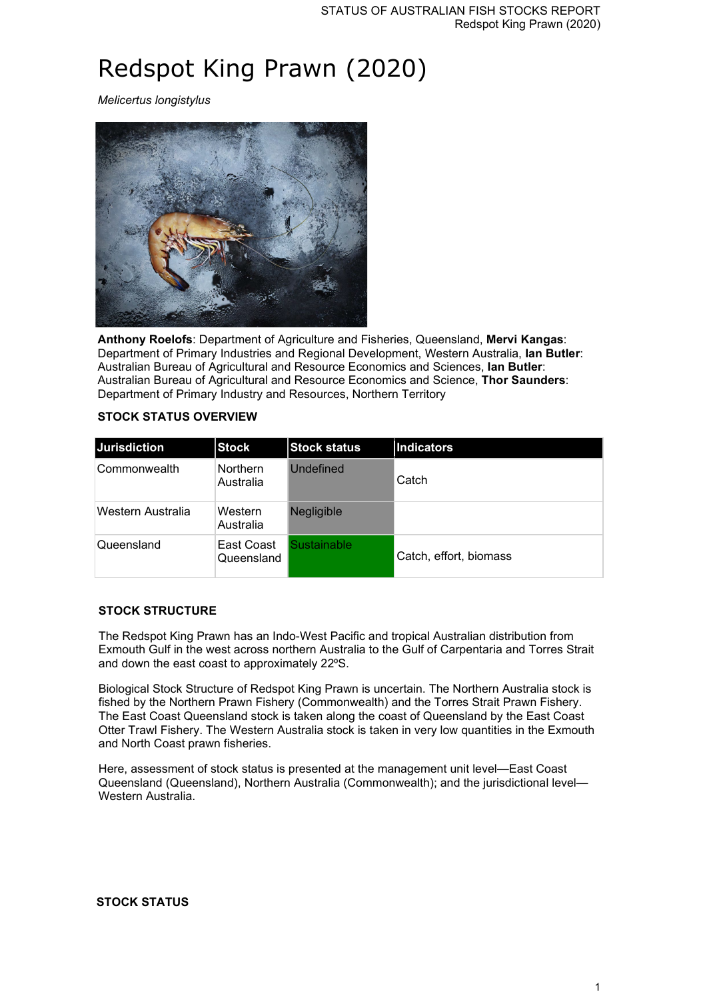# Redspot King Prawn (2020)

*Melicertus longistylus*



**Anthony Roelofs**: Department of Agriculture and Fisheries, Queensland, **Mervi Kangas**: Department of Primary Industries and Regional Development, Western Australia, **Ian Butler**: Australian Bureau of Agricultural and Resource Economics and Sciences, **Ian Butler**: Australian Bureau of Agricultural and Resource Economics and Science, **Thor Saunders**: Department of Primary Industry and Resources, Northern Territory

#### **STOCK STATUS OVERVIEW**

| <b>Jurisdiction</b> | <b>Stock</b>                 | <b>Stock status</b> | Indicators             |
|---------------------|------------------------------|---------------------|------------------------|
| Commonwealth        | <b>Northern</b><br>Australia | Undefined           | Catch                  |
| Western Australia   | Western<br>Australia         | <b>Negligible</b>   |                        |
| Queensland          | East Coast<br>Queensland     | <b>Sustainable</b>  | Catch, effort, biomass |

#### **STOCK STRUCTURE**

The Redspot King Prawn has an Indo-West Pacific and tropical Australian distribution from Exmouth Gulf in the west across northern Australia to the Gulf of Carpentaria and Torres Strait and down the east coast to approximately 22°S.

Biological Stock Structure of Redspot King Prawn is uncertain. The Northern Australia stock is fished by the Northern Prawn Fishery (Commonwealth) and the Torres Strait Prawn Fishery. The East Coast Queensland stock is taken along the coast of Queensland by the East Coast Otter Trawl Fishery. The Western Australia stock is taken in very low quantities in the Exmouth and North Coast prawn fisheries.

Here, assessment of stock status is presented at the management unit level—East Coast Queensland (Queensland), Northern Australia (Commonwealth); and the jurisdictional level— Western Australia.

#### **STOCK STATUS**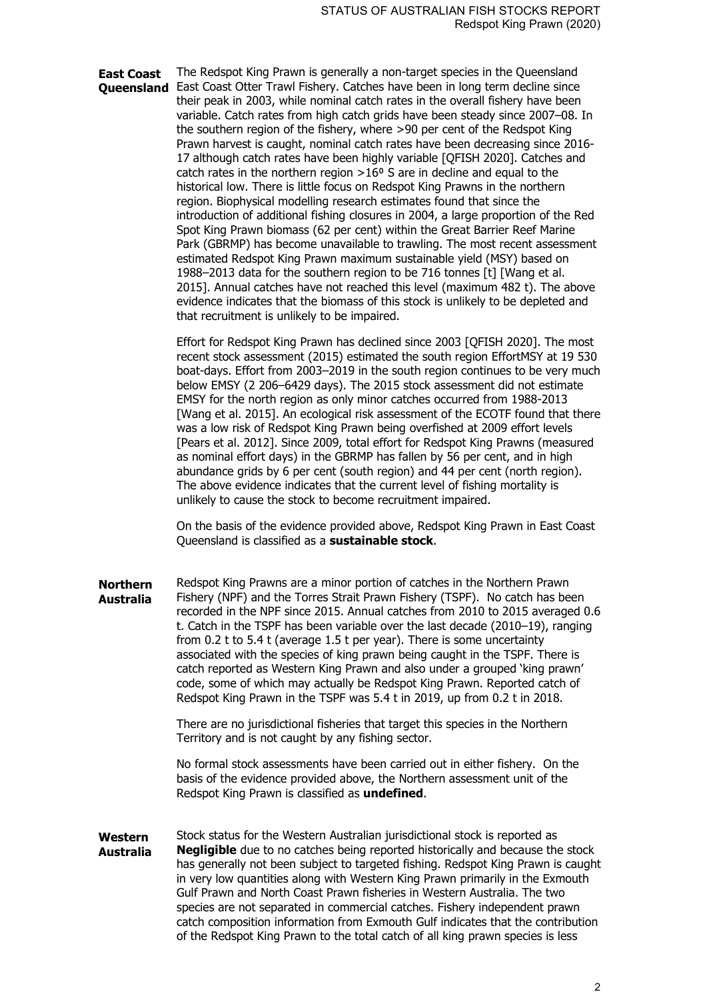**East Coast Queensland** East Coast Otter Trawl Fishery. Catches have been in long term decline since The Redspot King Prawn is generally a non-target species in the Queensland their peak in 2003, while nominal catch rates in the overall fishery have been variable. Catch rates from high catch grids have been steady since 2007–08. In the southern region of the fishery, where >90 per cent of the Redspot King Prawn harvest is caught, nominal catch rates have been decreasing since 2016- 17 although catch rates have been highly variable [QFISH 2020]. Catches and catch rates in the northern region  $>16<sup>o</sup>$  S are in decline and equal to the historical low. There is little focus on Redspot King Prawns in the northern region. Biophysical modelling research estimates found that since the introduction of additional fishing closures in 2004, a large proportion of the Red Spot King Prawn biomass (62 per cent) within the Great Barrier Reef Marine Park (GBRMP) has become unavailable to trawling. The most recent assessment estimated Redspot King Prawn maximum sustainable yield (MSY) based on 1988–2013 data for the southern region to be 716 tonnes [t] [Wang et al. 2015]. Annual catches have not reached this level (maximum 482 t). The above evidence indicates that the biomass of this stock is unlikely to be depleted and that recruitment is unlikely to be impaired.

> Effort for Redspot King Prawn has declined since 2003 [QFISH 2020]. The most recent stock assessment (2015) estimated the south region EffortMSY at 19 530 boat-days. Effort from 2003–2019 in the south region continues to be very much below EMSY (2 206–6429 days). The 2015 stock assessment did not estimate EMSY for the north region as only minor catches occurred from 1988-2013 [Wang et al. 2015]. An ecological risk assessment of the ECOTF found that there was a low risk of Redspot King Prawn being overfished at 2009 effort levels [Pears et al. 2012]. Since 2009, total effort for Redspot King Prawns (measured as nominal effort days) in the GBRMP has fallen by 56 per cent, and in high abundance grids by 6 per cent (south region) and 44 per cent (north region). The above evidence indicates that the current level of fishing mortality is unlikely to cause the stock to become recruitment impaired.

On the basis of the evidence provided above, Redspot King Prawn in East Coast Queensland is classified as a **sustainable stock**.

**Northern Australia** Redspot King Prawns are a minor portion of catches in the Northern Prawn Fishery (NPF) and the Torres Strait Prawn Fishery (TSPF). No catch has been recorded in the NPF since 2015. Annual catches from 2010 to 2015 averaged 0.6 t. Catch in the TSPF has been variable over the last decade (2010–19), ranging from 0.2 t to 5.4 t (average 1.5 t per year). There is some uncertainty associated with the species of king prawn being caught in the TSPF. There is catch reported as Western King Prawn and also under a grouped 'king prawn' code, some of which may actually be Redspot King Prawn. Reported catch of Redspot King Prawn in the TSPF was 5.4 t in 2019, up from 0.2 t in 2018.

> There are no jurisdictional fisheries that target this species in the Northern Territory and is not caught by any fishing sector.

No formal stock assessments have been carried out in either fishery. On the basis of the evidence provided above, the Northern assessment unit of the Redspot King Prawn is classified as **undefined**.

**Western Australia** Stock status for the Western Australian jurisdictional stock is reported as **Negligible** due to no catches being reported historically and because the stock has generally not been subject to targeted fishing. Redspot King Prawn is caught in very low quantities along with Western King Prawn primarily in the Exmouth Gulf Prawn and North Coast Prawn fisheries in Western Australia. The two species are not separated in commercial catches. Fishery independent prawn catch composition information from Exmouth Gulf indicates that the contribution of the Redspot King Prawn to the total catch of all king prawn species is less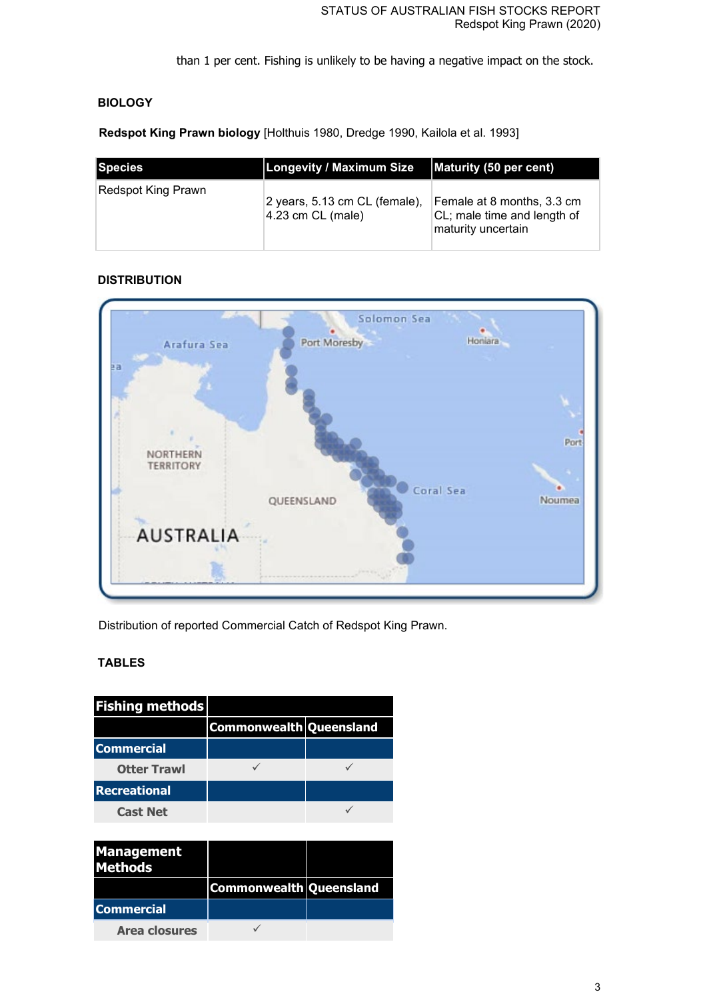than 1 per cent. Fishing is unlikely to be having a negative impact on the stock.

# **BIOLOGY**

**Redspot King Prawn biology** [Holthuis 1980, Dredge 1990, Kailola et al. 1993]

| <b>Species</b>            | <b>Longevity / Maximum Size</b>                      | Maturity (50 per cent)                                                          |
|---------------------------|------------------------------------------------------|---------------------------------------------------------------------------------|
| <b>Redspot King Prawn</b> | 2 years, 5.13 cm CL (female),<br>$4.23$ cm CL (male) | Female at 8 months, 3.3 cm<br>CL; male time and length of<br>maturity uncertain |

# **DISTRIBUTION**



Distribution of reported Commercial Catch of Redspot King Prawn.

# **TABLES**

| <b>Fishing methods</b> |                         |  |
|------------------------|-------------------------|--|
|                        | Commonwealth Queensland |  |
| <b>Commercial</b>      |                         |  |
| <b>Otter Trawl</b>     |                         |  |
| <b>Recreational</b>    |                         |  |
| <b>Cast Net</b>        |                         |  |

| <b>Management</b><br><b>Methods</b> |                         |  |
|-------------------------------------|-------------------------|--|
|                                     | Commonwealth Queensland |  |
| <b>Commercial</b>                   |                         |  |
| <b>Area closures</b>                |                         |  |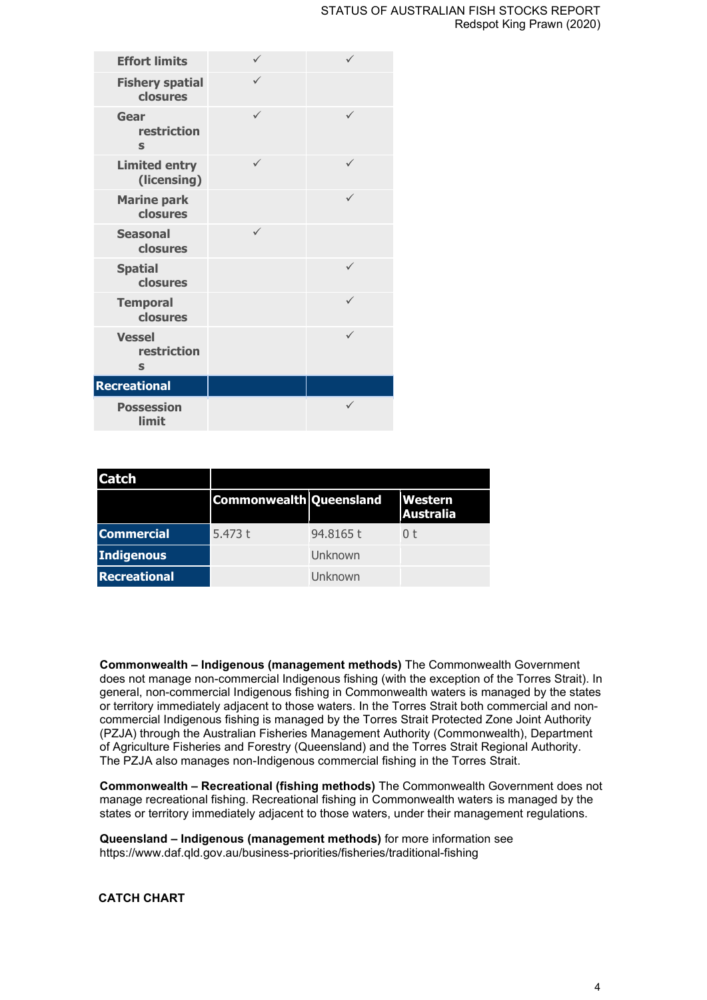# STATUS OF AUSTRALIAN FISH STOCKS REPORT Redspot King Prawn (2020)

| <b>Effort limits</b>                |              |              |
|-------------------------------------|--------------|--------------|
| <b>Fishery spatial</b><br>closures  |              |              |
| Gear<br>restriction<br>$\mathbf S$  | $\checkmark$ | $\checkmark$ |
| <b>Limited entry</b><br>(licensing) | $\checkmark$ | ✓            |
| <b>Marine park</b><br>closures      |              |              |
| <b>Seasonal</b><br>closures         | $\checkmark$ |              |
| <b>Spatial</b><br>closures          |              | ✓            |
| <b>Temporal</b><br>closures         |              | $\checkmark$ |
| <b>Vessel</b><br>restriction<br>S   |              | ✓            |
| <b>Recreational</b>                 |              |              |
| <b>Possession</b><br>limit          |              |              |

| <b>Catch</b>        |                         |           |                                    |
|---------------------|-------------------------|-----------|------------------------------------|
|                     | Commonwealth Queensland |           | <b>Western</b><br><b>Australia</b> |
| <b>Commercial</b>   | 5.473 $t$               | 94.8165 t | n t                                |
| Indigenous          |                         | Unknown   |                                    |
| <b>Recreational</b> |                         | Unknown   |                                    |

**Commonwealth – Indigenous (management methods)** The Commonwealth Government does not manage non-commercial Indigenous fishing (with the exception of the Torres Strait). In general, non-commercial Indigenous fishing in Commonwealth waters is managed by the states or territory immediately adjacent to those waters. In the Torres Strait both commercial and noncommercial Indigenous fishing is managed by the Torres Strait Protected Zone Joint Authority (PZJA) through the Australian Fisheries Management Authority (Commonwealth), Department of Agriculture Fisheries and Forestry (Queensland) and the Torres Strait Regional Authority. The PZJA also manages non-Indigenous commercial fishing in the Torres Strait.

**Commonwealth – Recreational (fishing methods)** The Commonwealth Government does not manage recreational fishing. Recreational fishing in Commonwealth waters is managed by the states or territory immediately adjacent to those waters, under their management regulations.

**Queensland – Indigenous (management methods)** for more information see https://www.daf.qld.gov.au/business-priorities/fisheries/traditional-fishing

## **CATCH CHART**